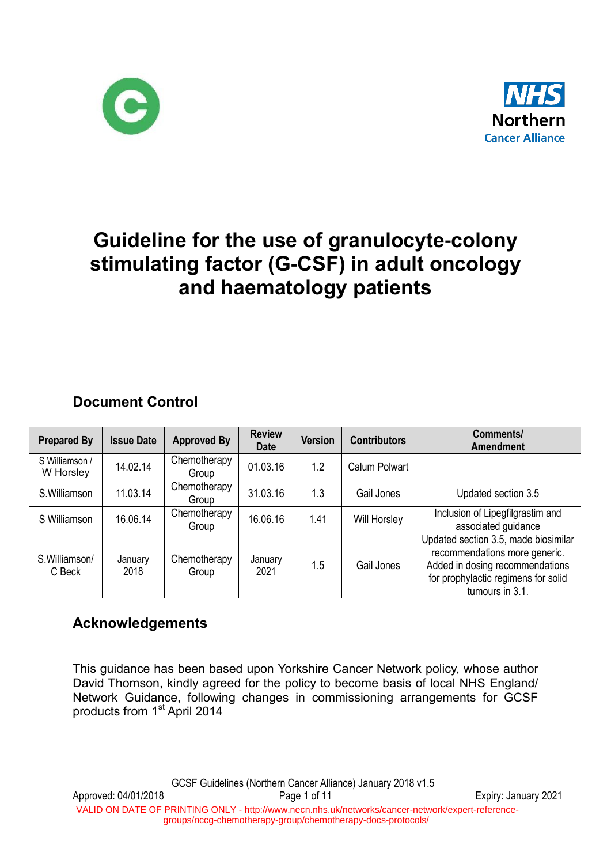



# **Guideline for the use of granulocyte-colony stimulating factor (G-CSF) in adult oncology and haematology patients**

### **Document Control**

| <b>Prepared By</b>          | <b>Issue Date</b> | <b>Approved By</b>    | <b>Review</b><br><b>Date</b> | <b>Version</b> | <b>Contributors</b>  | Comments/<br><b>Amendment</b>                                                                                                                                      |
|-----------------------------|-------------------|-----------------------|------------------------------|----------------|----------------------|--------------------------------------------------------------------------------------------------------------------------------------------------------------------|
| S Williamson /<br>W Horsley | 14.02.14          | Chemotherapy<br>Group | 01.03.16                     | 1.2            | <b>Calum Polwart</b> |                                                                                                                                                                    |
| S.Williamson                | 11.03.14          | Chemotherapy<br>Group | 31.03.16                     | 1.3            | Gail Jones           | Updated section 3.5                                                                                                                                                |
| S Williamson                | 16.06.14          | Chemotherapy<br>Group | 16.06.16                     | 1.41           | Will Horsley         | Inclusion of Lipegfilgrastim and<br>associated guidance                                                                                                            |
| S.Williamson/<br>C Beck     | January<br>2018   | Chemotherapy<br>Group | January<br>2021              | 1.5            | Gail Jones           | Updated section 3.5, made biosimilar<br>recommendations more generic.<br>Added in dosing recommendations<br>for prophylactic regimens for solid<br>tumours in 3.1. |

### **Acknowledgements**

This guidance has been based upon Yorkshire Cancer Network policy, whose author David Thomson, kindly agreed for the policy to become basis of local NHS England/ Network Guidance, following changes in commissioning arrangements for GCSF products from 1<sup>st</sup> April 2014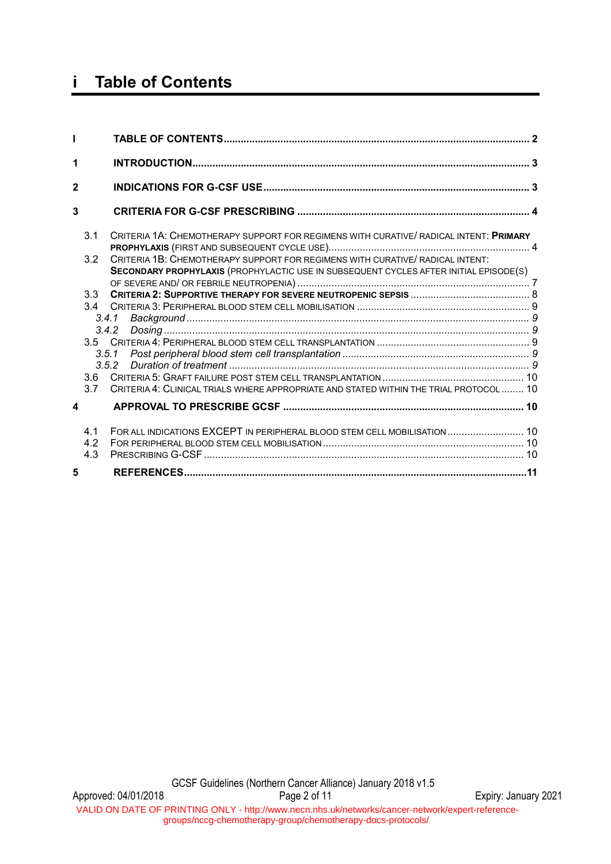## **i Table of Contents**

| 1            |                  |                                                                                                                                                                        |  |
|--------------|------------------|------------------------------------------------------------------------------------------------------------------------------------------------------------------------|--|
| $\mathbf{2}$ |                  |                                                                                                                                                                        |  |
| 3            |                  |                                                                                                                                                                        |  |
|              | 3.1              | CRITERIA 1A: CHEMOTHERAPY SUPPORT FOR REGIMENS WITH CURATIVE/ RADICAL INTENT: PRIMARY                                                                                  |  |
|              | 3.2              | CRITERIA 1B: CHEMOTHERAPY SUPPORT FOR REGIMENS WITH CURATIVE/ RADICAL INTENT:<br>SECONDARY PROPHYLAXIS (PROPHYLACTIC USE IN SUBSEQUENT CYCLES AFTER INITIAL EPISODE(S) |  |
|              | 3.3<br>34        |                                                                                                                                                                        |  |
|              |                  | 3.4.2                                                                                                                                                                  |  |
|              | 3.5.1            |                                                                                                                                                                        |  |
|              | 3.6<br>3.7       | CRITERIA 4: CLINICAL TRIALS WHERE APPROPRIATE AND STATED WITHIN THE TRIAL PROTOCOL  10                                                                                 |  |
| 4            |                  |                                                                                                                                                                        |  |
|              | 41<br>4.2<br>4.3 | FOR ALL INDICATIONS EXCEPT IN PERIPHERAL BLOOD STEM CELL MOBILISATION  10                                                                                              |  |
| 5            |                  |                                                                                                                                                                        |  |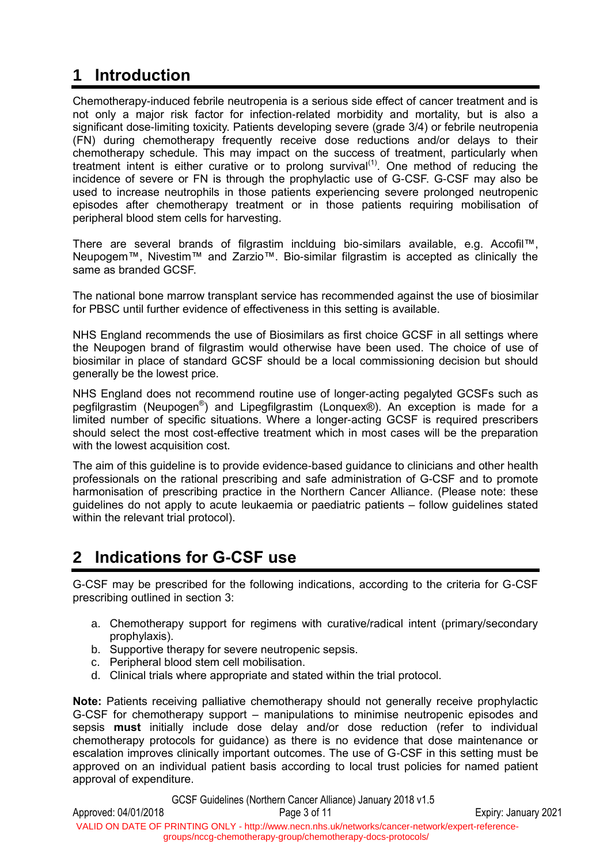## **1 Introduction**

Chemotherapy-induced febrile neutropenia is a serious side effect of cancer treatment and is not only a major risk factor for infection-related morbidity and mortality, but is also a significant dose-limiting toxicity. Patients developing severe (grade 3/4) or febrile neutropenia (FN) during chemotherapy frequently receive dose reductions and/or delays to their chemotherapy schedule. This may impact on the success of treatment, particularly when treatment intent is either curative or to prolong survival<sup> $(1)$ </sup>. One method of reducing the incidence of severe or FN is through the prophylactic use of G-CSF. G-CSF may also be used to increase neutrophils in those patients experiencing severe prolonged neutropenic episodes after chemotherapy treatment or in those patients requiring mobilisation of peripheral blood stem cells for harvesting.

There are several brands of filgrastim inclduing bio-similars available, e.g. Accofil™, Neupogem™, Nivestim™ and Zarzio™. Bio-similar filgrastim is accepted as clinically the same as branded GCSF.

The national bone marrow transplant service has recommended against the use of biosimilar for PBSC until further evidence of effectiveness in this setting is available.

NHS England recommends the use of Biosimilars as first choice GCSF in all settings where the Neupogen brand of filgrastim would otherwise have been used. The choice of use of biosimilar in place of standard GCSF should be a local commissioning decision but should generally be the lowest price.

NHS England does not recommend routine use of longer-acting pegalyted GCSFs such as pegfilgrastim (Neupogen®) and Lipegfilgrastim (Lonquex®). An exception is made for a limited number of specific situations. Where a longer-acting GCSF is required prescribers should select the most cost-effective treatment which in most cases will be the preparation with the lowest acquisition cost.

The aim of this guideline is to provide evidence-based guidance to clinicians and other health professionals on the rational prescribing and safe administration of G-CSF and to promote harmonisation of prescribing practice in the Northern Cancer Alliance. (Please note: these guidelines do not apply to acute leukaemia or paediatric patients – follow guidelines stated within the relevant trial protocol).

## **2 Indications for G-CSF use**

G-CSF may be prescribed for the following indications, according to the criteria for G-CSF prescribing outlined in section 3:

- a. Chemotherapy support for regimens with curative/radical intent (primary/secondary prophylaxis).
- b. Supportive therapy for severe neutropenic sepsis.
- c. Peripheral blood stem cell mobilisation.
- d. Clinical trials where appropriate and stated within the trial protocol.

**Note:** Patients receiving palliative chemotherapy should not generally receive prophylactic G-CSF for chemotherapy support – manipulations to minimise neutropenic episodes and sepsis **must** initially include dose delay and/or dose reduction (refer to individual chemotherapy protocols for guidance) as there is no evidence that dose maintenance or escalation improves clinically important outcomes. The use of G-CSF in this setting must be approved on an individual patient basis according to local trust policies for named patient approval of expenditure.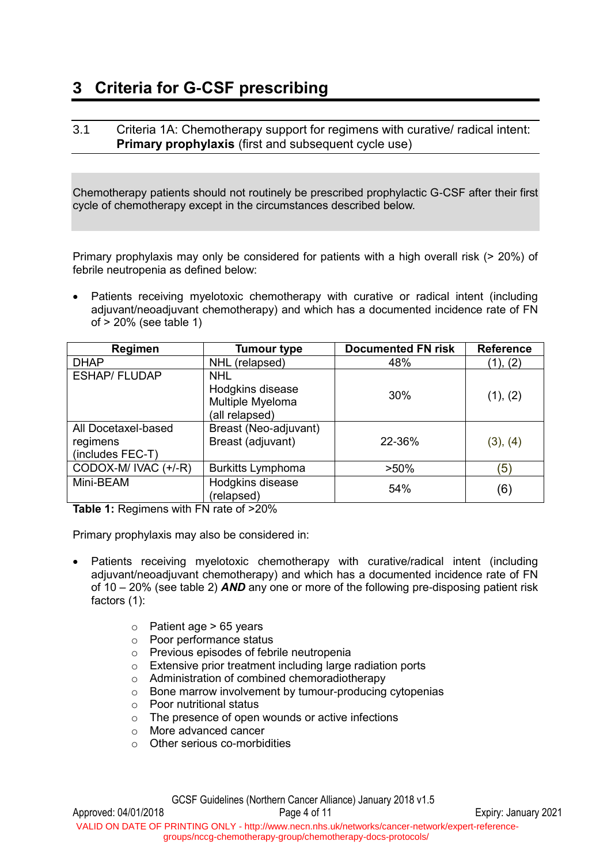## **3 Criteria for G-CSF prescribing**

#### <span id="page-3-0"></span>3.1 Criteria 1A: Chemotherapy support for regimens with curative/ radical intent: **Primary prophylaxis** (first and subsequent cycle use)

Chemotherapy patients should not routinely be prescribed prophylactic G-CSF after their first cycle of chemotherapy except in the circumstances described below.

Primary prophylaxis may only be considered for patients with a high overall risk (> 20%) of febrile neutropenia as defined below:

 Patients receiving myelotoxic chemotherapy with curative or radical intent (including adjuvant/neoadjuvant chemotherapy) and which has a documented incidence rate of FN of > 20% (see table 1)

| Regimen                                             | <b>Tumour type</b>                                                   | <b>Documented FN risk</b> | <b>Reference</b> |
|-----------------------------------------------------|----------------------------------------------------------------------|---------------------------|------------------|
| <b>DHAP</b>                                         | NHL (relapsed)                                                       | 48%                       | (1), (2)         |
| <b>ESHAP/FLUDAP</b>                                 | <b>NHL</b><br>Hodgkins disease<br>Multiple Myeloma<br>(all relapsed) | 30%                       | (1), (2)         |
| All Docetaxel-based<br>regimens<br>(includes FEC-T) | Breast (Neo-adjuvant)<br>Breast (adjuvant)                           | 22-36%                    | (3), (4)         |
| CODOX-M/ IVAC (+/-R)                                | Burkitts Lymphoma                                                    | $>50\%$                   | Έ                |
| Mini-BEAM                                           | Hodgkins disease<br>(relapsed)                                       | 54%                       | (6)              |

**Table 1:** Regimens with FN rate of >20%

Primary prophylaxis may also be considered in:

- Patients receiving myelotoxic chemotherapy with curative/radical intent (including adjuvant/neoadjuvant chemotherapy) and which has a documented incidence rate of FN of 10 – 20% (see table 2) *AND* any one or more of the following pre-disposing patient risk factors (1):
	- $\circ$  Patient age > 65 years
	- o Poor performance status
	- o Previous episodes of febrile neutropenia
	- o Extensive prior treatment including large radiation ports
	- o Administration of combined chemoradiotherapy
	- o Bone marrow involvement by tumour-producing cytopenias
	- o Poor nutritional status
	- o The presence of open wounds or active infections
	- o More advanced cancer
	- o Other serious co-morbidities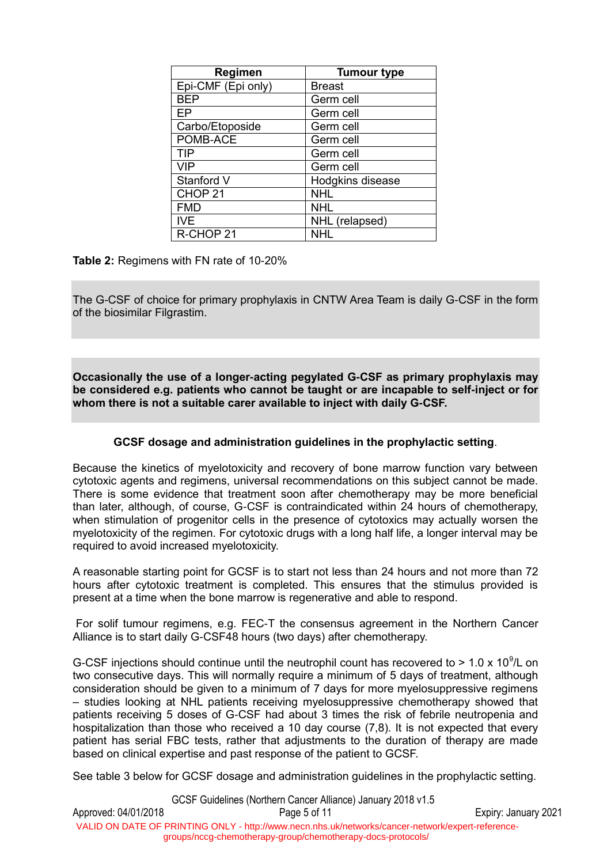| <b>Regimen</b>     | <b>Tumour type</b> |
|--------------------|--------------------|
| Epi-CMF (Epi only) | <b>Breast</b>      |
| <b>BEP</b>         | Germ cell          |
| FP                 | Germ cell          |
| Carbo/Etoposide    | Germ cell          |
| POMB-ACE           | Germ cell          |
| <b>TIP</b>         | Germ cell          |
| <b>VIP</b>         | Germ cell          |
| Stanford V         | Hodgkins disease   |
| CHOP <sub>21</sub> | <b>NHL</b>         |
| <b>FMD</b>         | <b>NHL</b>         |
| <b>IVE</b>         | NHL (relapsed)     |
| R-CHOP 21          | NHI                |

**Table 2:** Regimens with FN rate of 10-20%

The G-CSF of choice for primary prophylaxis in CNTW Area Team is daily G-CSF in the form of the biosimilar Filgrastim.

**Occasionally the use of a longer-acting pegylated G-CSF as primary prophylaxis may be considered e.g. patients who cannot be taught or are incapable to self-inject or for whom there is not a suitable carer available to inject with daily G-CSF.**

#### **GCSF dosage and administration guidelines in the prophylactic setting**.

Because the kinetics of myelotoxicity and recovery of bone marrow function vary between cytotoxic agents and regimens, universal recommendations on this subject cannot be made. There is some evidence that treatment soon after chemotherapy may be more beneficial than later, although, of course, G-CSF is contraindicated within 24 hours of chemotherapy, when stimulation of progenitor cells in the presence of cytotoxics may actually worsen the myelotoxicity of the regimen. For cytotoxic drugs with a long half life, a longer interval may be required to avoid increased myelotoxicity.

A reasonable starting point for GCSF is to start not less than 24 hours and not more than 72 hours after cytotoxic treatment is completed. This ensures that the stimulus provided is present at a time when the bone marrow is regenerative and able to respond.

For solif tumour regimens, e.g. FEC-T the consensus agreement in the Northern Cancer Alliance is to start daily G-CSF48 hours (two days) after chemotherapy.

G-CSF injections should continue until the neutrophil count has recovered to  $> 1.0 \times 10^9$ /L on two consecutive days. This will normally require a minimum of 5 days of treatment, although consideration should be given to a minimum of 7 days for more myelosuppressive regimens – studies looking at NHL patients receiving myelosuppressive chemotherapy showed that patients receiving 5 doses of G-CSF had about 3 times the risk of febrile neutropenia and hospitalization than those who received a 10 day course (7,8). It is not expected that every patient has serial FBC tests, rather that adjustments to the duration of therapy are made based on clinical expertise and past response of the patient to GCSF.

See table 3 below for GCSF dosage and administration guidelines in the prophylactic setting.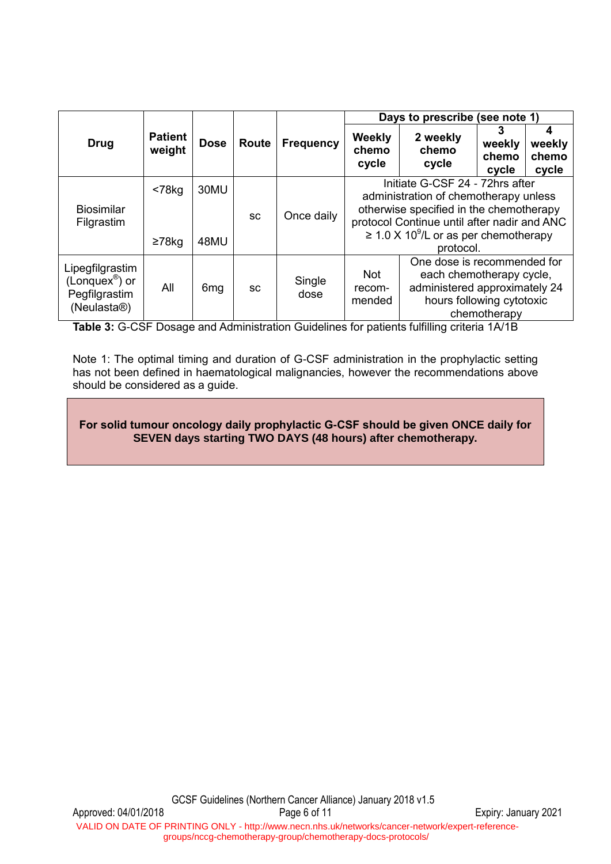|                                                                                            |                           |                 |              |                                          | Days to prescribe<br>(see note 1)                                                                                                                                                                                            |                            |                               |                          |
|--------------------------------------------------------------------------------------------|---------------------------|-----------------|--------------|------------------------------------------|------------------------------------------------------------------------------------------------------------------------------------------------------------------------------------------------------------------------------|----------------------------|-------------------------------|--------------------------|
| <b>Drug</b>                                                                                | <b>Patient</b><br>weight  | <b>Dose</b>     | <b>Route</b> | <b>Frequency</b>                         | Weekly<br>chemo<br>cycle                                                                                                                                                                                                     | 2 weekly<br>chemo<br>cycle | 3<br>weekly<br>chemo<br>cycle | weekly<br>chemo<br>cycle |
| <b>Biosimilar</b><br>Filgrastim                                                            | $< 78$ kg<br>$\geq 78$ kg | 30MU<br>48MU    | <b>SC</b>    | Once daily                               | Initiate G-CSF 24 - 72hrs after<br>administration of chemotherapy unless<br>otherwise specified in the chemotherapy<br>protocol Continue until after nadir and ANC<br>$\geq$ 1.0 X 10 <sup>9</sup> /L or as per chemotherapy |                            |                               |                          |
|                                                                                            |                           |                 |              | protocol.<br>One dose is recommended for |                                                                                                                                                                                                                              |                            |                               |                          |
| Lipegfilgrastim<br>(Longuex <sup>®</sup> ) or<br>Pegfilgrastim<br>(Neulasta <sup>®</sup> ) | All                       | 6 <sub>mg</sub> | <b>SC</b>    | Single<br>dose                           | <b>Not</b><br>each chemotherapy cycle,<br>administered approximately 24<br>recom-<br>hours following cytotoxic<br>mended<br>chemotherapy                                                                                     |                            |                               |                          |

**Table 3:** G-CSF Dosage and Administration Guidelines for patients fulfilling criteria 1A/1B

Note 1: The optimal timing and duration of G-CSF administration in the prophylactic setting has not been defined in haematological malignancies, however the recommendations above should be considered as a guide.

#### **For solid tumour oncology daily prophylactic G-CSF should be given ONCE daily for SEVEN days starting TWO DAYS (48 hours) after chemotherapy.**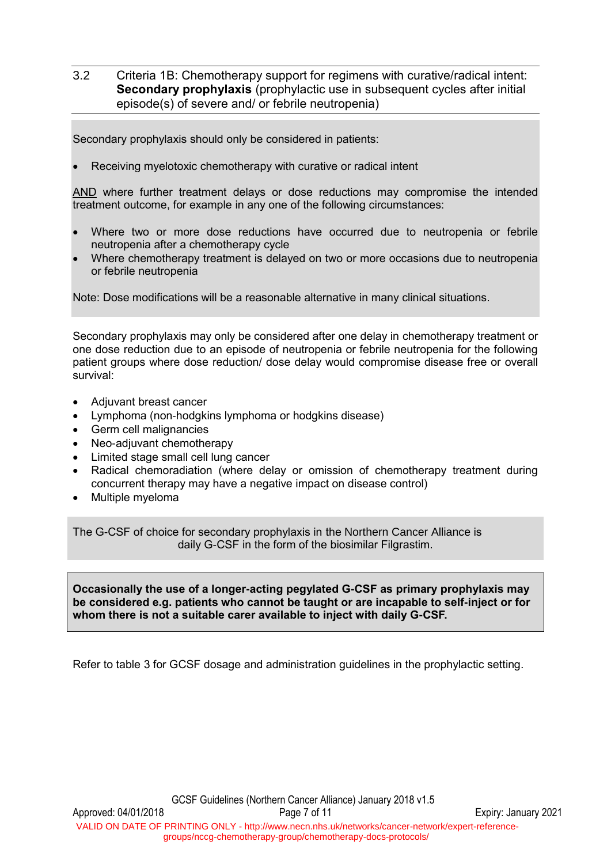#### <span id="page-6-0"></span>3.2 Criteria 1B: Chemotherapy support for regimens with curative/radical intent: **Secondary prophylaxis** (prophylactic use in subsequent cycles after initial episode(s) of severe and/ or febrile neutropenia)

Secondary prophylaxis should only be considered in patients:

Receiving myelotoxic chemotherapy with curative or radical intent

AND where further treatment delays or dose reductions may compromise the intended treatment outcome, for example in any one of the following circumstances:

- Where two or more dose reductions have occurred due to neutropenia or febrile neutropenia after a chemotherapy cycle
- Where chemotherapy treatment is delayed on two or more occasions due to neutropenia or febrile neutropenia

Note: Dose modifications will be a reasonable alternative in many clinical situations.

Secondary prophylaxis may only be considered after one delay in chemotherapy treatment or one dose reduction due to an episode of neutropenia or febrile neutropenia for the following patient groups where dose reduction/ dose delay would compromise disease free or overall survival:

- Adjuvant breast cancer
- Lymphoma (non-hodgkins lymphoma or hodgkins disease)
- Germ cell malignancies
- Neo-adiuvant chemotherapy
- Limited stage small cell lung cancer
- Radical chemoradiation (where delay or omission of chemotherapy treatment during concurrent therapy may have a negative impact on disease control)
- Multiple myeloma

The G-CSF of choice for secondary prophylaxis in the Northern Cancer Alliance is daily G-CSF in the form of the biosimilar Filgrastim.

**Occasionally the use of a longer-acting pegylated G-CSF as primary prophylaxis may be considered e.g. patients who cannot be taught or are incapable to self-inject or for whom there is not a suitable carer available to inject with daily G-CSF.**

Refer to table 3 for GCSF dosage and administration guidelines in the prophylactic setting.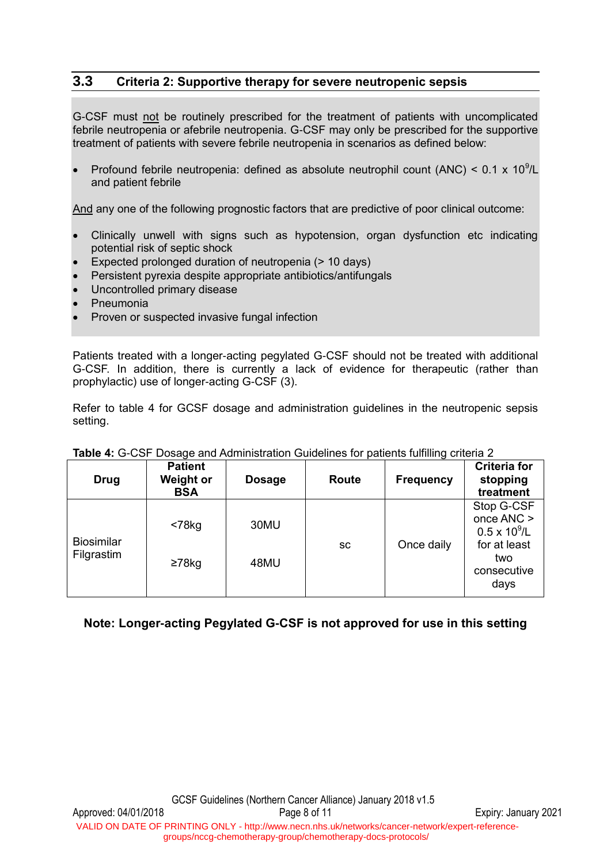#### **3.3 Criteria 2: Supportive therapy for severe neutropenic sepsis**

G-CSF must not be routinely prescribed for the treatment of patients with uncomplicated febrile neutropenia or afebrile neutropenia. G-CSF may only be prescribed for the supportive treatment of patients with severe febrile neutropenia in scenarios as defined below:

• Profound febrile neutropenia: defined as absolute neutrophil count (ANC) <  $0.1 \times 10^9$ /L and patient febrile

And any one of the following prognostic factors that are predictive of poor clinical outcome:

- Clinically unwell with signs such as hypotension, organ dysfunction etc indicating potential risk of septic shock
- Expected prolonged duration of neutropenia (> 10 days)
- Persistent pyrexia despite appropriate antibiotics/antifungals
- Uncontrolled primary disease
- Pneumonia
- Proven or suspected invasive fungal infection

Patients treated with a longer-acting pegylated G-CSF should not be treated with additional G-CSF. In addition, there is currently a lack of evidence for therapeutic (rather than prophylactic) use of longer-acting G-CSF (3).

Refer to table 4 for GCSF dosage and administration guidelines in the neutropenic sepsis setting.

| <b>Drug</b>                     | <b>Patient</b><br><b>Weight or</b><br><b>BSA</b> | <b>Dosage</b> | Route     | <b>Frequency</b> | <b>Criteria for</b><br>stopping<br>treatment                                                   |  |  |  |
|---------------------------------|--------------------------------------------------|---------------|-----------|------------------|------------------------------------------------------------------------------------------------|--|--|--|
| <b>Biosimilar</b><br>Filgrastim | $<$ 78 $kg$<br>$\geq$ 78kg                       | 30MU<br>48MU  | <b>SC</b> | Once daily       | Stop G-CSF<br>once ANC ><br>$0.5 \times 10^9$ /L<br>for at least<br>two<br>consecutive<br>days |  |  |  |

#### **Table 4:** G-CSF Dosage and Administration Guidelines for patients fulfilling criteria 2

#### **Note: Longer-acting Pegylated G-CSF is not approved for use in this setting**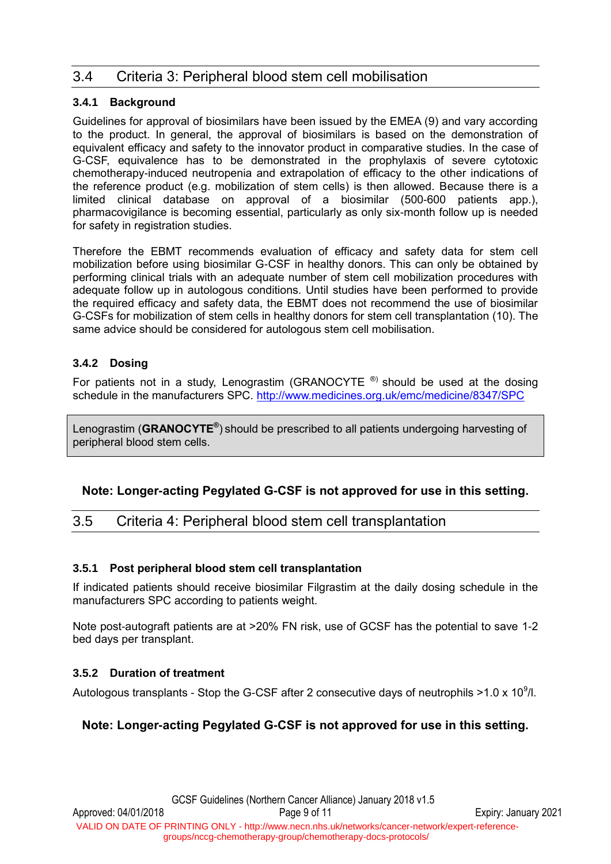### 3.4 Criteria 3: Peripheral blood stem cell mobilisation

#### **3.4.1 Background**

Guidelines for approval of biosimilars have been issued by the EMEA (9) and vary according to the product. In general, the approval of biosimilars is based on the demonstration of equivalent efficacy and safety to the innovator product in comparative studies. In the case of G-CSF, equivalence has to be demonstrated in the prophylaxis of severe cytotoxic chemotherapy-induced neutropenia and extrapolation of efficacy to the other indications of the reference product (e.g. mobilization of stem cells) is then allowed. Because there is a limited clinical database on approval of a biosimilar (500-600 patients app.), pharmacovigilance is becoming essential, particularly as only six-month follow up is needed for safety in registration studies.

Therefore the EBMT recommends evaluation of efficacy and safety data for stem cell mobilization before using biosimilar G-CSF in healthy donors. This can only be obtained by performing clinical trials with an adequate number of stem cell mobilization procedures with adequate follow up in autologous conditions. Until studies have been performed to provide the required efficacy and safety data, the EBMT does not recommend the use of biosimilar G-CSFs for mobilization of stem cells in healthy donors for stem cell transplantation (10). The same advice should be considered for autologous stem cell mobilisation.

#### **3.4.2 Dosing**

For patients not in a study, Lenograstim (GRANOCYTE  $^{\circledR}$ ) should be used at the dosing schedule in the manufacturers SPC. <http://www.medicines.org.uk/emc/medicine/8347/SPC>

Lenograstim (**GRANOCYTE®** ) should be prescribed to all patients undergoing harvesting of peripheral blood stem cells.

#### **Note: Longer-acting Pegylated G-CSF is not approved for use in this setting.**

### 3.5 Criteria 4: Peripheral blood stem cell transplantation

#### **3.5.1 Post peripheral blood stem cell transplantation**

If indicated patients should receive biosimilar Filgrastim at the daily dosing schedule in the manufacturers SPC according to patients weight.

Note post-autograft patients are at >20% FN risk, use of GCSF has the potential to save 1-2 bed days per transplant.

#### **3.5.2 Duration of treatment**

Autologous transplants - Stop the G-CSF after 2 consecutive days of neutrophils >1.0 x 10<sup>9</sup>/l.

#### **Note: Longer-acting Pegylated G-CSF is not approved for use in this setting.**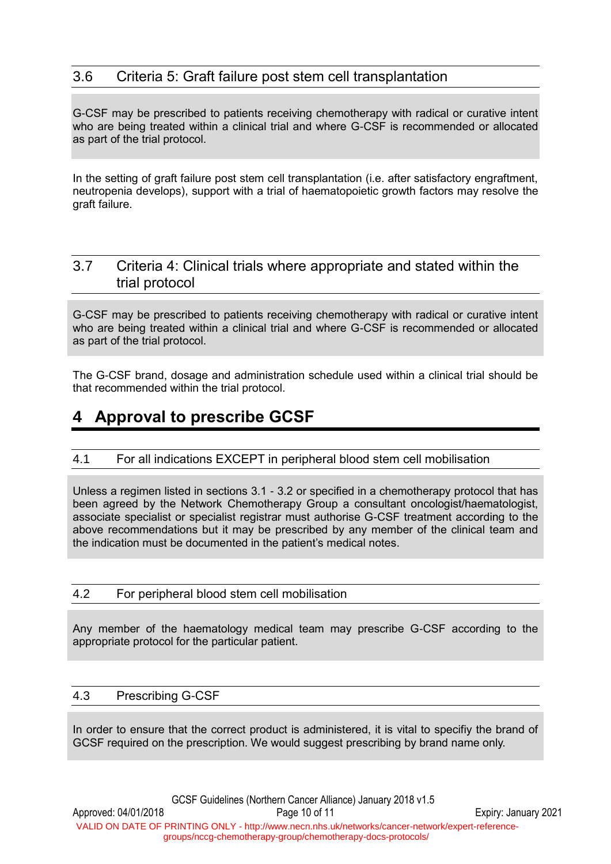### 3.6 Criteria 5: Graft failure post stem cell transplantation

G-CSF may be prescribed to patients receiving chemotherapy with radical or curative intent who are being treated within a clinical trial and where G-CSF is recommended or allocated as part of the trial protocol.

In the setting of graft failure post stem cell transplantation (i.e. after satisfactory engraftment, neutropenia develops), support with a trial of haematopoietic growth factors may resolve the graft failure.

### 3.7 Criteria 4: Clinical trials where appropriate and stated within the trial protocol

G-CSF may be prescribed to patients receiving chemotherapy with radical or curative intent who are being treated within a clinical trial and where G-CSF is recommended or allocated as part of the trial protocol.

The G-CSF brand, dosage and administration schedule used within a clinical trial should be that recommended within the trial protocol.

## **4 Approval to prescribe GCSF**

#### 4.1 For all indications EXCEPT in peripheral blood stem cell mobilisation

Unless a regimen listed in sections [3.1](#page-3-0) - [3.2](#page-6-0) or specified in a chemotherapy protocol that has been agreed by the Network Chemotherapy Group a consultant oncologist/haematologist, associate specialist or specialist registrar must authorise G-CSF treatment according to the above recommendations but it may be prescribed by any member of the clinical team and the indication must be documented in the patient's medical notes.

#### 4.2 For peripheral blood stem cell mobilisation

Any member of the haematology medical team may prescribe G-CSF according to the appropriate protocol for the particular patient.

#### 4.3 Prescribing G-CSF

In order to ensure that the correct product is administered, it is vital to specifiy the brand of GCSF required on the prescription. We would suggest prescribing by brand name only.